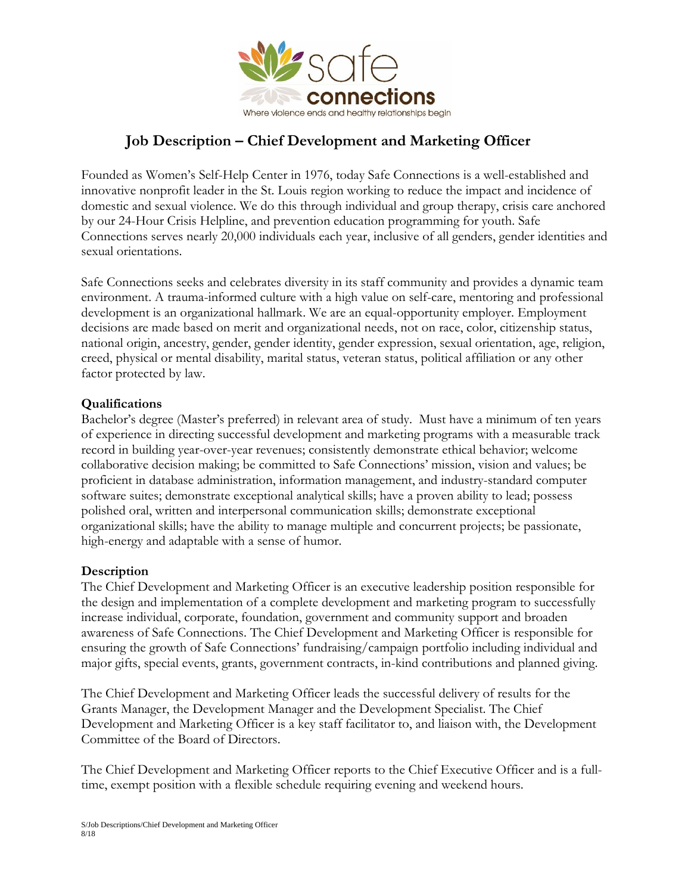

# **Job Description – Chief Development and Marketing Officer**

Founded as Women's Self-Help Center in 1976, today Safe Connections is a well-established and innovative nonprofit leader in the St. Louis region working to reduce the impact and incidence of domestic and sexual violence. We do this through individual and group therapy, crisis care anchored by our 24-Hour Crisis Helpline, and prevention education programming for youth. Safe Connections serves nearly 20,000 individuals each year, inclusive of all genders, gender identities and sexual orientations.

Safe Connections seeks and celebrates diversity in its staff community and provides a dynamic team environment. A trauma-informed culture with a high value on self-care, mentoring and professional development is an organizational hallmark. We are an equal-opportunity employer. Employment decisions are made based on merit and organizational needs, not on race, color, citizenship status, national origin, ancestry, gender, gender identity, gender expression, sexual orientation, age, religion, creed, physical or mental disability, marital status, veteran status, political affiliation or any other factor protected by law.

#### **Qualifications**

Bachelor's degree (Master's preferred) in relevant area of study. Must have a minimum of ten years of experience in directing successful development and marketing programs with a measurable track record in building year-over-year revenues; consistently demonstrate ethical behavior; welcome collaborative decision making; be committed to Safe Connections' mission, vision and values; be proficient in database administration, information management, and industry-standard computer software suites; demonstrate exceptional analytical skills; have a proven ability to lead; possess polished oral, written and interpersonal communication skills; demonstrate exceptional organizational skills; have the ability to manage multiple and concurrent projects; be passionate, high-energy and adaptable with a sense of humor.

#### **Description**

The Chief Development and Marketing Officer is an executive leadership position responsible for the design and implementation of a complete development and marketing program to successfully increase individual, corporate, foundation, government and community support and broaden awareness of Safe Connections. The Chief Development and Marketing Officer is responsible for ensuring the growth of Safe Connections' fundraising/campaign portfolio including individual and major gifts, special events, grants, government contracts, in-kind contributions and planned giving.

The Chief Development and Marketing Officer leads the successful delivery of results for the Grants Manager, the Development Manager and the Development Specialist. The Chief Development and Marketing Officer is a key staff facilitator to, and liaison with, the Development Committee of the Board of Directors.

The Chief Development and Marketing Officer reports to the Chief Executive Officer and is a fulltime, exempt position with a flexible schedule requiring evening and weekend hours.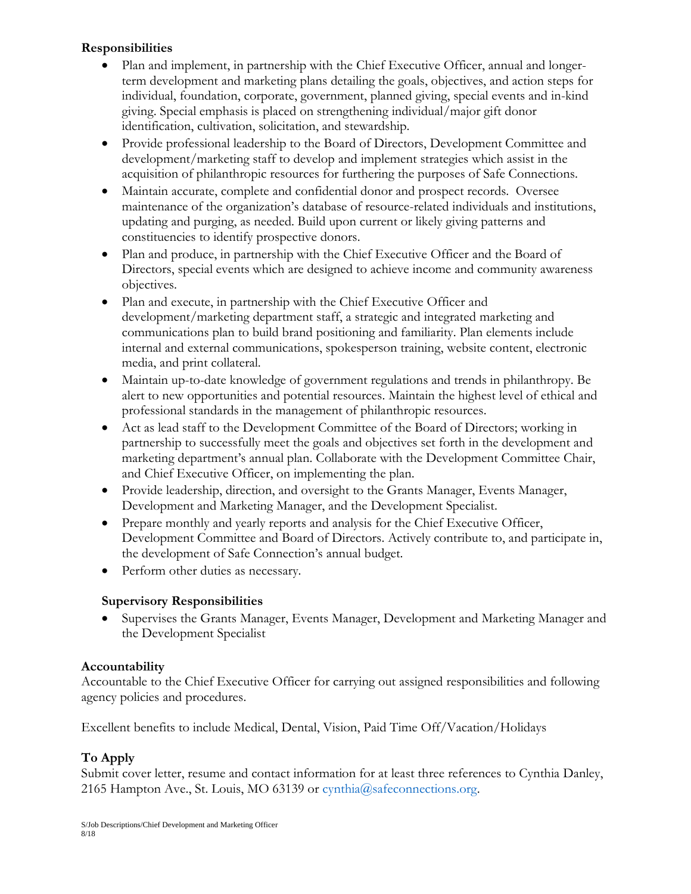## **Responsibilities**

- Plan and implement, in partnership with the Chief Executive Officer, annual and longerterm development and marketing plans detailing the goals, objectives, and action steps for individual, foundation, corporate, government, planned giving, special events and in-kind giving. Special emphasis is placed on strengthening individual/major gift donor identification, cultivation, solicitation, and stewardship.
- Provide professional leadership to the Board of Directors, Development Committee and development/marketing staff to develop and implement strategies which assist in the acquisition of philanthropic resources for furthering the purposes of Safe Connections.
- Maintain accurate, complete and confidential donor and prospect records. Oversee maintenance of the organization's database of resource-related individuals and institutions, updating and purging, as needed. Build upon current or likely giving patterns and constituencies to identify prospective donors.
- Plan and produce, in partnership with the Chief Executive Officer and the Board of Directors, special events which are designed to achieve income and community awareness objectives.
- Plan and execute, in partnership with the Chief Executive Officer and development/marketing department staff, a strategic and integrated marketing and communications plan to build brand positioning and familiarity. Plan elements include internal and external communications, spokesperson training, website content, electronic media, and print collateral.
- Maintain up-to-date knowledge of government regulations and trends in philanthropy. Be alert to new opportunities and potential resources. Maintain the highest level of ethical and professional standards in the management of philanthropic resources.
- Act as lead staff to the Development Committee of the Board of Directors; working in partnership to successfully meet the goals and objectives set forth in the development and marketing department's annual plan. Collaborate with the Development Committee Chair, and Chief Executive Officer, on implementing the plan.
- Provide leadership, direction, and oversight to the Grants Manager, Events Manager, Development and Marketing Manager, and the Development Specialist.
- Prepare monthly and yearly reports and analysis for the Chief Executive Officer, Development Committee and Board of Directors. Actively contribute to, and participate in, the development of Safe Connection's annual budget.
- Perform other duties as necessary.

## **Supervisory Responsibilities**

• Supervises the Grants Manager, Events Manager, Development and Marketing Manager and the Development Specialist

## **Accountability**

Accountable to the Chief Executive Officer for carrying out assigned responsibilities and following agency policies and procedures.

Excellent benefits to include Medical, Dental, Vision, Paid Time Off/Vacation/Holidays

## **To Apply**

Submit cover letter, resume and contact information for at least three references to Cynthia Danley, 2165 Hampton Ave., St. Louis, MO 63139 or cynthia@safeconnections.org.